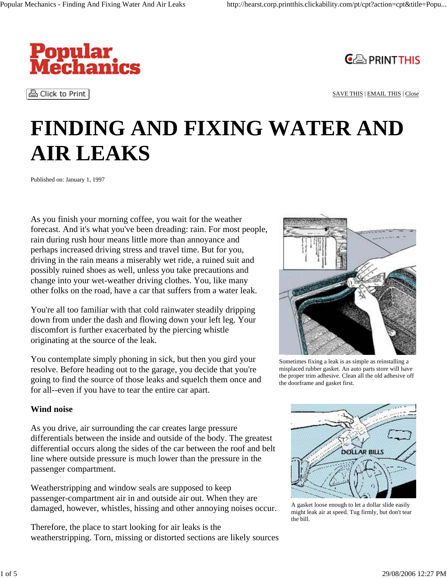

હੈ Click to Print



SAVE THIS | EMAIL THIS | Close

# **FINDING AND FIXING WATER AND AIR LEAKS**

Published on: January 1, 1997

As you finish your morning coffee, you wait for the weather forecast. And it's what you've been dreading: rain. For most people, rain during rush hour means little more than annoyance and perhaps increased driving stress and travel time. But for you, driving in the rain means a miserably wet ride, a ruined suit and possibly ruined shoes as well, unless you take precautions and change into your wet-weather driving clothes. You, like many other folks on the road, have a car that suffers from a water leak.

You're all too familiar with that cold rainwater steadily dripping down from under the dash and flowing down your left leg. Your discomfort is further exacerbated by the piercing whistle originating at the source of the leak.

You contemplate simply phoning in sick, but then you gird your resolve. Before heading out to the garage, you decide that you're going to find the source of those leaks and squelch them once and for all--even if you have to tear the entire car apart.

#### **Wind noise**

As you drive, air surrounding the car creates large pressure differentials between the inside and outside of the body. The greatest differential occurs along the sides of the car between the roof and belt line where outside pressure is much lower than the pressure in the passenger compartment.

Weatherstripping and window seals are supposed to keep passenger-compartment air in and outside air out. When they are damaged, however, whistles, hissing and other annoying noises occur.

Therefore, the place to start looking for air leaks is the weatherstripping. Torn, missing or distorted sections are likely sources



Sometimes fixing a leak is as simple as reinstalling a misplaced rubber gasket. An auto parts store will have the proper trim adhesive. Clean all the old adhesive off the doorframe and gasket first.



A gasket loose enough to let a dollar slide easily might leak air at speed. Tug firmly, but don't tear the bill.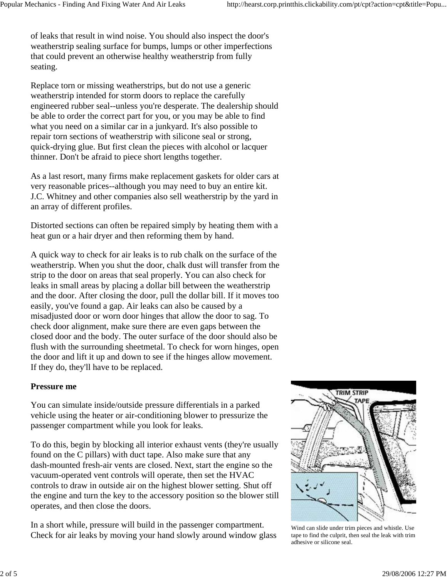of leaks that result in wind noise. You should also inspect the door's weatherstrip sealing surface for bumps, lumps or other imperfections that could prevent an otherwise healthy weatherstrip from fully seating.

Replace torn or missing weatherstrips, but do not use a generic weatherstrip intended for storm doors to replace the carefully engineered rubber seal--unless you're desperate. The dealership should be able to order the correct part for you, or you may be able to find what you need on a similar car in a junkyard. It's also possible to repair torn sections of weatherstrip with silicone seal or strong, quick-drying glue. But first clean the pieces with alcohol or lacquer thinner. Don't be afraid to piece short lengths together.

As a last resort, many firms make replacement gaskets for older cars at very reasonable prices--although you may need to buy an entire kit. J.C. Whitney and other companies also sell weatherstrip by the yard in an array of different profiles.

Distorted sections can often be repaired simply by heating them with a heat gun or a hair dryer and then reforming them by hand.

A quick way to check for air leaks is to rub chalk on the surface of the weatherstrip. When you shut the door, chalk dust will transfer from the strip to the door on areas that seal properly. You can also check for leaks in small areas by placing a dollar bill between the weatherstrip and the door. After closing the door, pull the dollar bill. If it moves too easily, you've found a gap. Air leaks can also be caused by a misadjusted door or worn door hinges that allow the door to sag. To check door alignment, make sure there are even gaps between the closed door and the body. The outer surface of the door should also be flush with the surrounding sheetmetal. To check for worn hinges, open the door and lift it up and down to see if the hinges allow movement. If they do, they'll have to be replaced.

#### **Pressure me**

You can simulate inside/outside pressure differentials in a parked vehicle using the heater or air-conditioning blower to pressurize the passenger compartment while you look for leaks.

To do this, begin by blocking all interior exhaust vents (they're usually found on the C pillars) with duct tape. Also make sure that any dash-mounted fresh-air vents are closed. Next, start the engine so the vacuum-operated vent controls will operate, then set the HVAC controls to draw in outside air on the highest blower setting. Shut off the engine and turn the key to the accessory position so the blower still operates, and then close the doors.

In a short while, pressure will build in the passenger compartment. Check for air leaks by moving your hand slowly around window glass



Wind can slide under trim pieces and whistle. Use tape to find the culprit, then seal the leak with trim adhesive or silicone seal.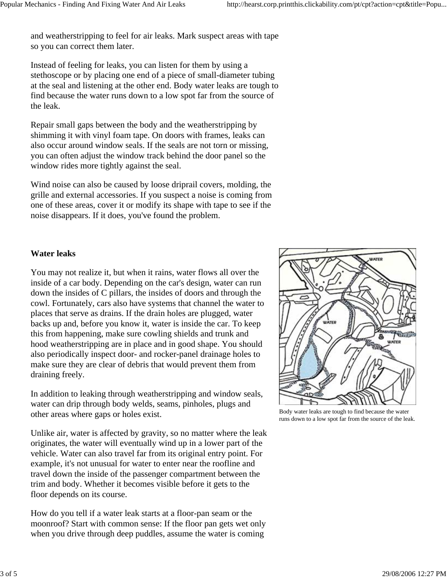and weatherstripping to feel for air leaks. Mark suspect areas with tape so you can correct them later.

Instead of feeling for leaks, you can listen for them by using a stethoscope or by placing one end of a piece of small-diameter tubing at the seal and listening at the other end. Body water leaks are tough to find because the water runs down to a low spot far from the source of the leak.

Repair small gaps between the body and the weatherstripping by shimming it with vinyl foam tape. On doors with frames, leaks can also occur around window seals. If the seals are not torn or missing, you can often adjust the window track behind the door panel so the window rides more tightly against the seal.

Wind noise can also be caused by loose driprail covers, molding, the grille and external accessories. If you suspect a noise is coming from one of these areas, cover it or modify its shape with tape to see if the noise disappears. If it does, you've found the problem.

### **Water leaks**

You may not realize it, but when it rains, water flows all over the inside of a car body. Depending on the car's design, water can run down the insides of C pillars, the insides of doors and through the cowl. Fortunately, cars also have systems that channel the water to places that serve as drains. If the drain holes are plugged, water backs up and, before you know it, water is inside the car. To keep this from happening, make sure cowling shields and trunk and hood weatherstripping are in place and in good shape. You should also periodically inspect door- and rocker-panel drainage holes to make sure they are clear of debris that would prevent them from draining freely.

In addition to leaking through weatherstripping and window seals, water can drip through body welds, seams, pinholes, plugs and other areas where gaps or holes exist.

Unlike air, water is affected by gravity, so no matter where the leak originates, the water will eventually wind up in a lower part of the vehicle. Water can also travel far from its original entry point. For example, it's not unusual for water to enter near the roofline and travel down the inside of the passenger compartment between the trim and body. Whether it becomes visible before it gets to the floor depends on its course.

How do you tell if a water leak starts at a floor-pan seam or the moonroof? Start with common sense: If the floor pan gets wet only when you drive through deep puddles, assume the water is coming



Body water leaks are tough to find because the water runs down to a low spot far from the source of the leak.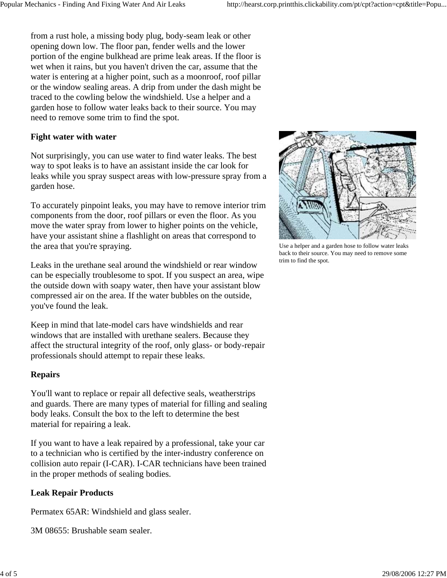from a rust hole, a missing body plug, body-seam leak or other opening down low. The floor pan, fender wells and the lower portion of the engine bulkhead are prime leak areas. If the floor is wet when it rains, but you haven't driven the car, assume that the water is entering at a higher point, such as a moonroof, roof pillar or the window sealing areas. A drip from under the dash might be traced to the cowling below the windshield. Use a helper and a garden hose to follow water leaks back to their source. You may need to remove some trim to find the spot.

# **Fight water with water**

Not surprisingly, you can use water to find water leaks. The best way to spot leaks is to have an assistant inside the car look for leaks while you spray suspect areas with low-pressure spray from a garden hose.

To accurately pinpoint leaks, you may have to remove interior trim components from the door, roof pillars or even the floor. As you move the water spray from lower to higher points on the vehicle, have your assistant shine a flashlight on areas that correspond to the area that you're spraying.

Leaks in the urethane seal around the windshield or rear window can be especially troublesome to spot. If you suspect an area, wipe the outside down with soapy water, then have your assistant blow compressed air on the area. If the water bubbles on the outside, you've found the leak.

Keep in mind that late-model cars have windshields and rear windows that are installed with urethane sealers. Because they affect the structural integrity of the roof, only glass- or body-repair professionals should attempt to repair these leaks.

## **Repairs**

You'll want to replace or repair all defective seals, weatherstrips and guards. There are many types of material for filling and sealing body leaks. Consult the box to the left to determine the best material for repairing a leak.

If you want to have a leak repaired by a professional, take your car to a technician who is certified by the inter-industry conference on collision auto repair (I-CAR). I-CAR technicians have been trained in the proper methods of sealing bodies.

# **Leak Repair Products**

Permatex 65AR: Windshield and glass sealer.

3M 08655: Brushable seam sealer.



Use a helper and a garden hose to follow water leaks back to their source. You may need to remove some trim to find the spot.